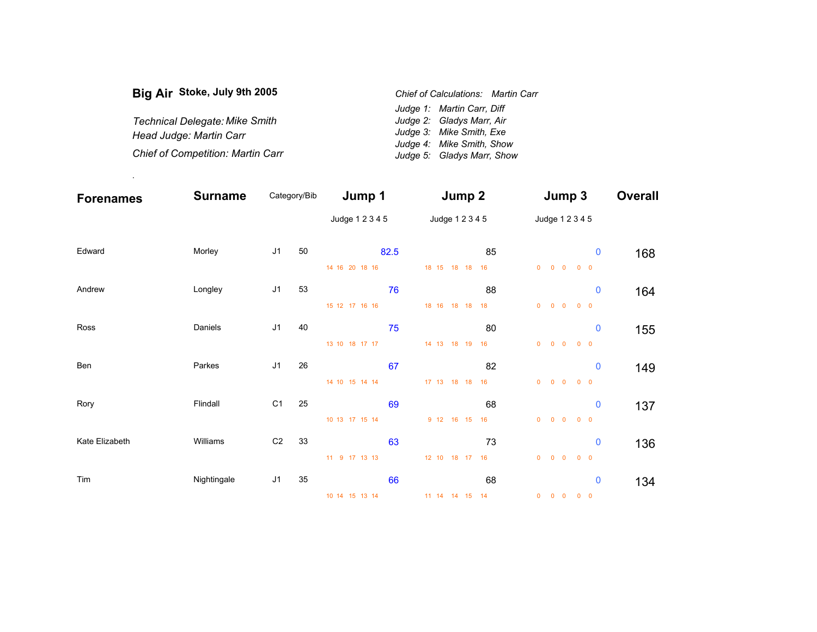| Big Air Stoke, July 9th 2005             |  | Chief of Calculations: Martin Carr |  |  |
|------------------------------------------|--|------------------------------------|--|--|
|                                          |  | Judge 1: Martin Carr, Diff         |  |  |
| <b>Technical Delegate: Mike Smith</b>    |  | Judge 2: Gladys Marr, Air          |  |  |
| Head Judge: Martin Carr                  |  | Judge 3: Mike Smith, Exe           |  |  |
|                                          |  | Judge 4: Mike Smith, Show          |  |  |
| <b>Chief of Competition: Martin Carr</b> |  | Judge 5: Gladys Marr, Show         |  |  |

.

| <b>Forenames</b> | <b>Surname</b> | Category/Bib   |    | Jump 1          |    | Jump 2          |    |                | Jump 3                                 |            |             | <b>Overall</b> |
|------------------|----------------|----------------|----|-----------------|----|-----------------|----|----------------|----------------------------------------|------------|-------------|----------------|
|                  |                |                |    | Judge 1 2 3 4 5 |    | Judge 1 2 3 4 5 |    |                | Judge 1 2 3 4 5                        |            |             |                |
| Edward           | Morley         | J <sub>1</sub> | 50 | 82.5            |    |                 | 85 |                |                                        |            | $\pmb{0}$   | 168            |
|                  |                |                |    | 14 16 20 18 16  |    | 18 15 18 18     | 16 | $\overline{0}$ | $0\quad 0$                             | $0\quad 0$ |             |                |
| Andrew           | Longley        | J <sub>1</sub> | 53 |                 | 76 |                 | 88 |                |                                        |            | $\mathbf 0$ | 164            |
|                  |                |                |    | 15 12 17 16 16  |    | 18 16 18 18     | 18 | $\overline{0}$ | $\overline{\mathbf{0}}$<br>$\mathbf 0$ | $0\quad 0$ |             |                |
| Ross             | Daniels        | J <sub>1</sub> | 40 |                 | 75 |                 | 80 |                |                                        |            | $\pmb{0}$   | 155            |
|                  |                |                |    | 13 10 18 17 17  |    | 14 13 18 19     | 16 | $\overline{0}$ | $0\quad 0$                             | $0\quad 0$ |             |                |
| Ben              | Parkes         | J <sub>1</sub> | 26 |                 | 67 |                 | 82 |                |                                        |            | $\mathbf 0$ | 149            |
|                  |                |                |    | 14 10 15 14 14  |    | 17 13 18 18     | 16 | $\overline{0}$ | $0\quad 0$                             | $0\quad 0$ |             |                |
| Rory             | Flindall       | C <sub>1</sub> | 25 |                 | 69 |                 | 68 |                |                                        |            | $\pmb{0}$   | 137            |
|                  |                |                |    | 10 13 17 15 14  |    | 9 12 16 15      | 16 | $\overline{0}$ | $0\quad 0$                             | $0\quad 0$ |             |                |
| Kate Elizabeth   | Williams       | C <sub>2</sub> | 33 |                 | 63 |                 | 73 |                |                                        |            | $\bf{0}$    | 136            |
|                  |                |                |    | 11 9 17 13 13   |    | 12 10 18 17     | 16 | $\overline{0}$ | $0\quad 0$                             | $0\quad 0$ |             |                |
| Tim              | Nightingale    | J <sub>1</sub> | 35 |                 | 66 |                 | 68 |                |                                        |            | $\bf{0}$    | 134            |
|                  |                |                |    | 10 14 15 13 14  |    | 11 14 14 15 14  |    |                | $0\qquad 0\qquad 0\qquad 0\qquad 0$    |            |             |                |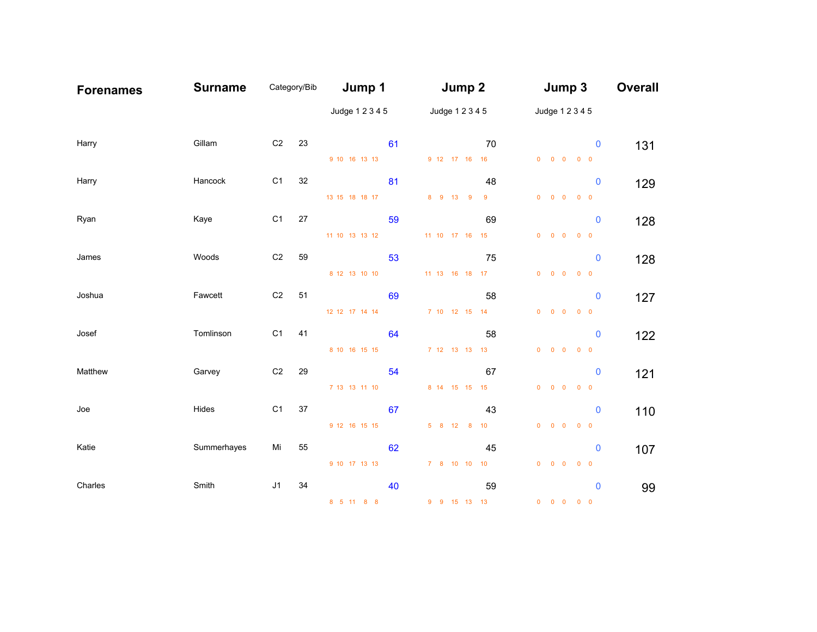| <b>Forenames</b> | <b>Surname</b> | Category/Bib   |    | Jump 1          |    | Jump 2 |                 |                | Jump 3                              |                                                                                     | <b>Overall</b> |
|------------------|----------------|----------------|----|-----------------|----|--------|-----------------|----------------|-------------------------------------|-------------------------------------------------------------------------------------|----------------|
|                  |                |                |    | Judge 1 2 3 4 5 |    |        | Judge 1 2 3 4 5 |                | Judge 1 2 3 4 5                     |                                                                                     |                |
| Harry            | Gillam         | C <sub>2</sub> | 23 |                 | 61 |        |                 | 70             |                                     | $\mathbf 0$                                                                         | 131            |
|                  |                |                |    | 9 10 16 13 13   |    |        |                 | 9 12 17 16 16  |                                     | $\begin{array}{ccccccccccccccccc} 0 & 0 & 0 & 0 & 0 & 0 \end{array}$                |                |
| Harry            | Hancock        | C1             | 32 |                 | 81 |        |                 | 48             |                                     | $\mathbf 0$                                                                         | 129            |
|                  |                |                |    | 13 15 18 18 17  |    |        | 8 9 13 9 9      |                | $0$ 0 0                             | $0\quad 0$                                                                          |                |
| Ryan             | Kaye           | C1             | 27 |                 | 59 |        |                 | 69             |                                     | $\mathbf 0$                                                                         | 128            |
|                  |                |                |    | 11 10 13 13 12  |    |        | 11 10 17 16 15  |                |                                     | $\begin{matrix} 0 & 0 & 0 & 0 & 0 \end{matrix}$                                     |                |
| James            | Woods          | C <sub>2</sub> | 59 |                 | 53 |        |                 | 75             |                                     | $\mathbf 0$                                                                         | 128            |
|                  |                |                |    | 8 12 13 10 10   |    |        |                 | 11 13 16 18 17 |                                     | $\begin{array}{ccccccccccccccccc} 0 & 0 & 0 & 0 & 0 & 0 \end{array}$                |                |
| Joshua           | Fawcett        | C <sub>2</sub> | 51 |                 | 69 |        |                 | 58             |                                     | $\mathbf 0$                                                                         | 127            |
|                  |                |                |    | 12 12 17 14 14  |    |        | 7 10 12 15 14   |                | $0$ 0 0                             | $0\quad 0$                                                                          |                |
| Josef            | Tomlinson      | C <sub>1</sub> | 41 |                 | 64 |        |                 | 58             |                                     | $\mathbf 0$                                                                         | 122            |
|                  |                |                |    | 8 10 16 15 15   |    |        | 7 12 13 13 13   |                |                                     | $\begin{matrix} 0 & 0 & 0 & 0 & 0 \end{matrix}$                                     |                |
| Matthew          | Garvey         | C <sub>2</sub> | 29 |                 | 54 |        |                 | 67             |                                     | $\mathbf 0$                                                                         | 121            |
|                  |                |                |    | 7 13 13 11 10   |    |        |                 | 8 14 15 15 15  | $0\quad 0\quad 0$                   | $0\quad 0$                                                                          |                |
| Joe              | Hides          | C1             | 37 |                 | 67 |        |                 | 43             |                                     | $\mathbf 0$                                                                         |                |
|                  |                |                |    | 9 12 16 15 15   |    |        | 5 8 12 8 10     |                |                                     | $\begin{array}{ccccccccccccccccc} 0 & 0 & 0 & 0 & 0 & 0 \end{array}$                | 110            |
| Katie            | Summerhayes    | Mi             | 55 |                 |    |        |                 |                |                                     |                                                                                     |                |
|                  |                |                |    | 9 10 17 13 13   | 62 |        | 7 8 10 10 10    | 45             |                                     | $\mathbf 0$<br>$\begin{array}{ccccccccccccccccc} 0 & 0 & 0 & 0 & 0 & 0 \end{array}$ | 107            |
|                  |                |                |    |                 |    |        |                 |                |                                     |                                                                                     |                |
| Charles          | Smith          | J <sub>1</sub> | 34 |                 | 40 |        |                 | 59             |                                     | $\mathbf 0$                                                                         | 99             |
|                  |                |                |    | 8 5 11 8 8      |    |        | 9 9 15 13 13    |                | $0\qquad 0\qquad 0\qquad 0\qquad 0$ |                                                                                     |                |